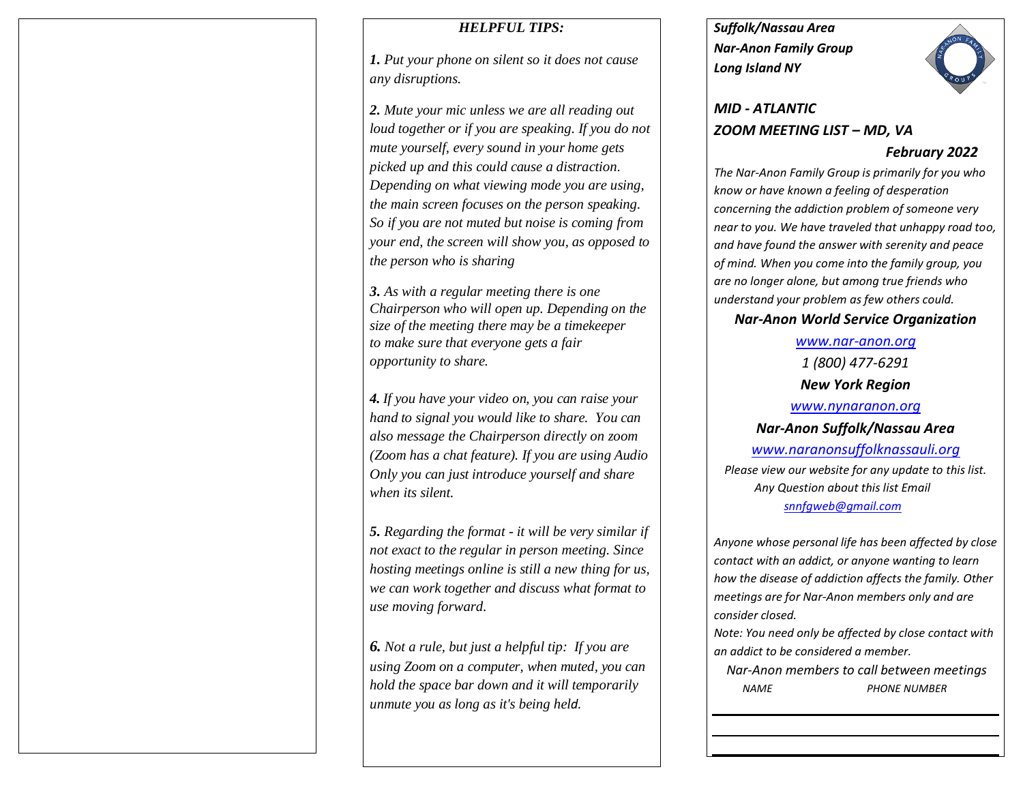### *HELPFUL TIPS:*

*1. Put your phone on silent so it does not cause any disruptions.*

*2. Mute your mic unless we are all reading out loud together or if you are speaking. If you do not mute yourself, every sound in your home gets picked up and this could cause a distraction. Depending on what viewing mode you are using, the main screen focuses on the person speaking. So if you are not muted but noise is coming from your end, the screen will show you, as opposed to the person who is sharing*

*3. As with a regular meeting there is one Chairperson who will open up. Depending on the size of the meeting there may be a timekeeper to make sure that everyone gets a fair opportunity to share.*

*4. If you have your video on, you can raise your hand to signal you would like to share. You can also message the Chairperson directly on zoom (Zoom has a chat feature). If you are using Audio Only you can just introduce yourself and share when its silent.* 

*5. Regarding the format - it will be very similar if not exact to the regular in person meeting. Since hosting meetings online is still a new thing for us, we can work together and discuss what format to use moving forward.*

*6. Not a rule, but just a helpful tip: If you are using Zoom on a computer, when muted, you can hold the space bar down and it will temporarily unmute you as long as it's being held.* 

*Suffolk/Nassau Area Nar-Anon Family Group Long Island NY* 



# *MID - ATLANTIC ZOOM MEETING LIST – MD, VA*

### *February 2022*

*The Nar-Anon Family Group is primarily for you who know or have known a feeling of desperation concerning the addiction problem of someone very near to you. We have traveled that unhappy road too, and have found the answer with serenity and peace of mind. When you come into the family group, you are no longer alone, but among true friends who understand your problem as few others could.* 

# *Nar-Anon World Service Organization*

*[www.nar-anon.org](http://www.nar-anon.org/) 1 (800) 477-6291 New York Region [www.nynaranon.org](http://www.nynaranon.org/) Nar-Anon Suffolk/Nassau Area [www.naranonsuffolknassauli.org](http://www.naranonsuffolknassauli.org/) Please view our website for any update to this list. Any Question about this list Email [snnfgweb@gmail.com](mailto:snnfgweb@gmail.com)*

*Anyone whose personal life has been affected by close contact with an addict, or anyone wanting to learn how the disease of addiction affects the family. Other meetings are for Nar-Anon members only and are consider closed.*

*Note: You need only be affected by close contact with an addict to be considered a member.*

 *Nar-Anon members to call between meetings NAME PHONE NUMBER*